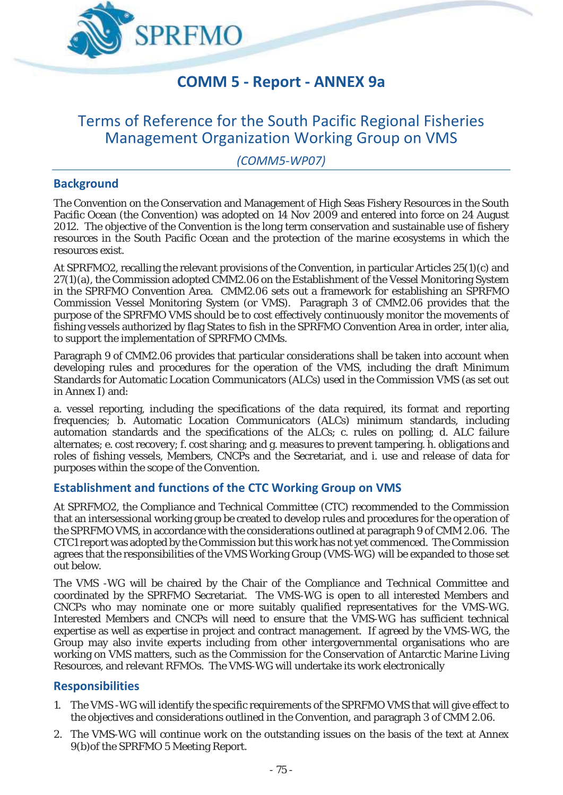

# **COMM 5 - Report - ANNEX 9a**

# Terms of Reference for the South Pacific Regional Fisheries Management Organization Working Group on VMS

*(COMM5-WP07)* 

# **Background**

The Convention on the Conservation and Management of High Seas Fishery Resources in the South Pacific Ocean (the Convention) was adopted on 14 Nov 2009 and entered into force on 24 August 2012. The objective of the Convention is the long term conservation and sustainable use of fishery resources in the South Pacific Ocean and the protection of the marine ecosystems in which the resources exist.

At SPRFMO2, recalling the relevant provisions of the Convention, in particular Articles 25(1)(c) and 27(1)(a), the Commission adopted CMM2.06 on the Establishment of the Vessel Monitoring System in the SPRFMO Convention Area. CMM2.06 sets out a framework for establishing an SPRFMO Commission Vessel Monitoring System (or VMS). Paragraph 3 of CMM2.06 provides that the purpose of the SPRFMO VMS should be to cost effectively continuously monitor the movements of fishing vessels authorized by flag States to fish in the SPRFMO Convention Area in order, inter alia, to support the implementation of SPRFMO CMMs.

Paragraph 9 of CMM2.06 provides that particular considerations shall be taken into account when developing rules and procedures for the operation of the VMS, including the draft Minimum Standards for Automatic Location Communicators (ALCs) used in the Commission VMS (as set out in Annex I) and:

a. vessel reporting, including the specifications of the data required, its format and reporting frequencies; b. Automatic Location Communicators (ALCs) minimum standards, including automation standards and the specifications of the ALCs; c. rules on polling; d. ALC failure alternates; e. cost recovery; f. cost sharing; and g. measures to prevent tampering. h. obligations and roles of fishing vessels, Members, CNCPs and the Secretariat, and i. use and release of data for purposes within the scope of the Convention.

# **Establishment and functions of the CTC Working Group on VMS**

At SPRFMO2, the Compliance and Technical Committee (CTC) recommended to the Commission that an intersessional working group be created to develop rules and procedures for the operation of the SPRFMO VMS, in accordance with the considerations outlined at paragraph 9 of CMM 2.06. The CTC1 report was adopted by the Commission but this work has not yet commenced. The Commission agrees that the responsibilities of the VMS Working Group (VMS-WG) will be expanded to those set out below.

The VMS -WG will be chaired by the Chair of the Compliance and Technical Committee and coordinated by the SPRFMO Secretariat. The VMS-WG is open to all interested Members and CNCPs who may nominate one or more suitably qualified representatives for the VMS-WG. Interested Members and CNCPs will need to ensure that the VMS-WG has sufficient technical expertise as well as expertise in project and contract management. If agreed by the VMS-WG, the Group may also invite experts including from other intergovernmental organisations who are working on VMS matters, such as the Commission for the Conservation of Antarctic Marine Living Resources, and relevant RFMOs. The VMS-WG will undertake its work electronically

# **Responsibilities**

- 1. The VMS -WG will identify the specific requirements of the SPRFMO VMS that will give effect to the objectives and considerations outlined in the Convention, and paragraph 3 of CMM 2.06.
- 2. The VMS-WG will continue work on the outstanding issues on the basis of the text at Annex 9(b)of the SPRFMO 5 Meeting Report.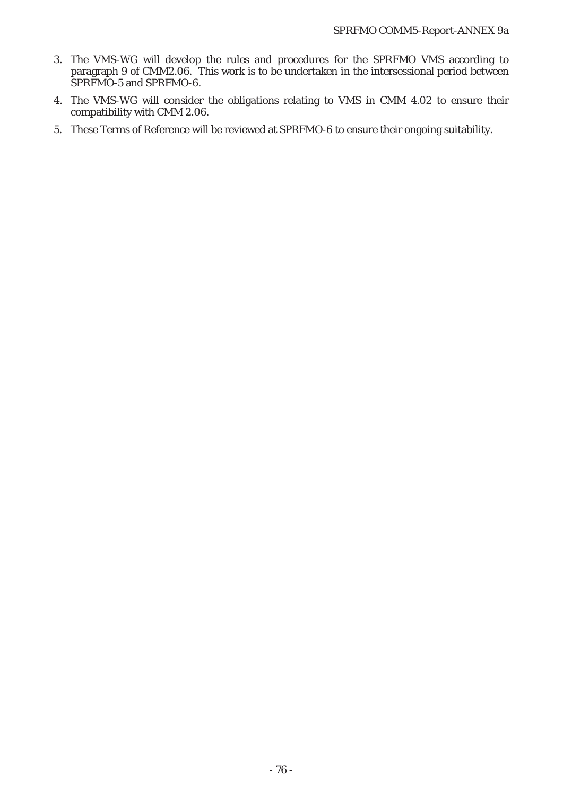- 3. The VMS-WG will develop the rules and procedures for the SPRFMO VMS according to paragraph 9 of CMM2.06. This work is to be undertaken in the intersessional period between SPRFMO-5 and SPRFMO-6.
- 4. The VMS-WG will consider the obligations relating to VMS in CMM 4.02 to ensure their compatibility with CMM 2.06.
- 5. These Terms of Reference will be reviewed at SPRFMO-6 to ensure their ongoing suitability.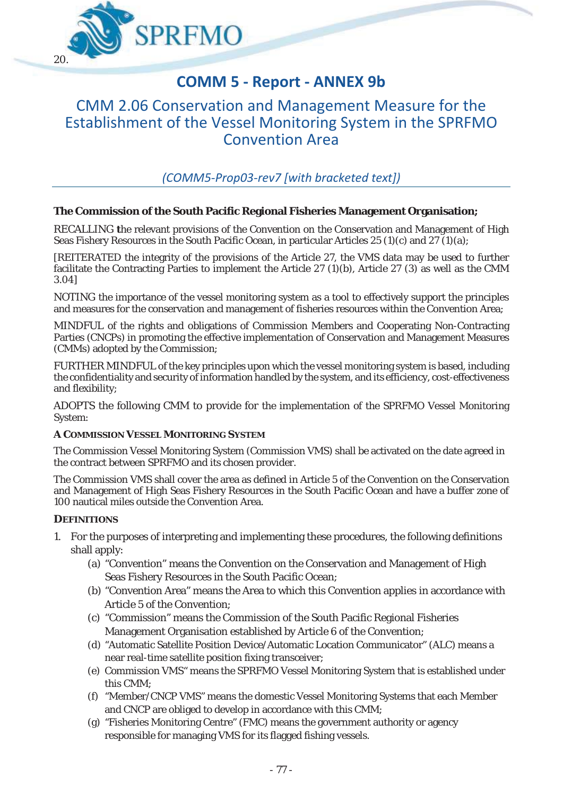

# **COMM 5 - Report - ANNEX 9b**

# CMM 2.06 Conservation and Management Measure for the Establishment of the Vessel Monitoring System in the SPRFMO Convention Area

*(COMM5-Prop03-rev7 [with bracketed text])*

## **The Commission of the South Pacific Regional Fisheries Management Organisation;**

*RECALLING* **t**he relevant provisions of the Convention on the Conservation and Management of High Seas Fishery Resources in the South Pacific Ocean, in particular Articles 25 (1)(c) and 27 (1)(a);

*[REITERATED* the integrity of the provisions of the Article 27, the VMS data may be used to further facilitate the Contracting Parties to implement the Article 27 (1)(b), Article 27 (3) as well as the CMM 3.04]

*NOTING* the importance of the vessel monitoring system as a tool to effectively support the principles and measures for the conservation and management of fisheries resources within the Convention Area;

*MINDFUL* of the rights and obligations of Commission Members and Cooperating Non-Contracting Parties (CNCPs) in promoting the effective implementation of Conservation and Management Measures (CMMs) adopted by the Commission;

*FURTHER MINDFUL* of the key principles upon which the vessel monitoring system is based, including the confidentiality and security of information handled by the system, and its efficiency, cost-effectiveness and flexibility;

*ADOPTS* the following CMM to provide for the implementation of the SPRFMO Vessel Monitoring System:

#### **A COMMISSION VESSEL MONITORING SYSTEM**

The Commission Vessel Monitoring System (Commission VMS) shall be activated on the date agreed in the contract between SPRFMO and its chosen provider.

The Commission VMS shall cover the area as defined in Article 5 of the Convention on the Conservation and Management of High Seas Fishery Resources in the South Pacific Ocean and have a buffer zone of 100 nautical miles outside the Convention Area.

#### **DEFINITIONS**

- 1. For the purposes of interpreting and implementing these procedures, the following definitions shall apply:
	- (a) "Convention" means the Convention on the Conservation and Management of High Seas Fishery Resources in the South Pacific Ocean;
	- (b) "Convention Area" means the Area to which this Convention applies in accordance with Article 5 of the Convention;
	- (c) "Commission" means the Commission of the South Pacific Regional Fisheries Management Organisation established by Article 6 of the Convention;
	- (d) "Automatic Satellite Position Device/Automatic Location Communicator" (ALC) means a near real-time satellite position fixing transceiver;
	- (e) Commission VMS" means the SPRFMO Vessel Monitoring System that is established under this CMM;
	- (f) "Member/CNCP VMS" means the domestic Vessel Monitoring Systems that each Member and CNCP are obliged to develop in accordance with this CMM;
	- (g) "Fisheries Monitoring Centre" (FMC) means the government authority or agency responsible for managing VMS for its flagged fishing vessels.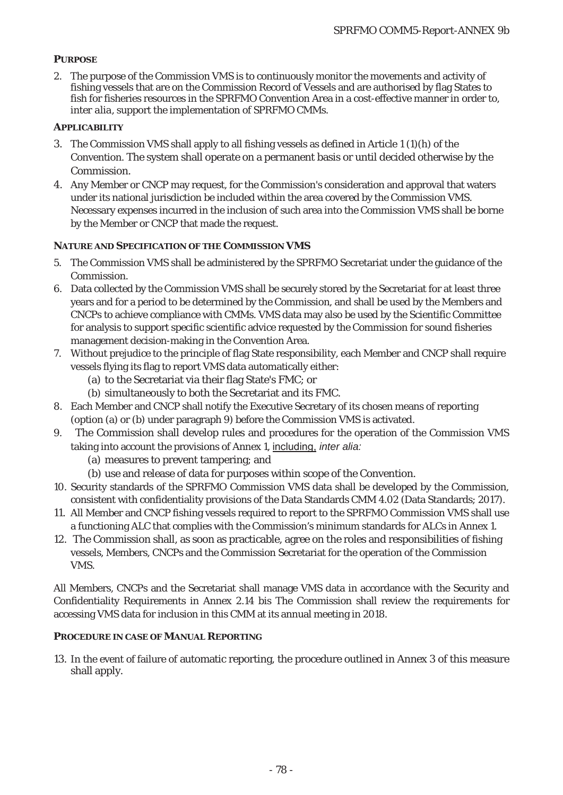## **PURPOSE**

2. The purpose of the Commission VMS is to continuously monitor the movements and activity of fishing vessels that are on the Commission Record of Vessels and are authorised by flag States to fish for fisheries resources in the SPRFMO Convention Area in a cost-effective manner in order to, *inter alia*, support the implementation of SPRFMO CMMs.

## **APPLICABILITY**

- 3. The Commission VMS shall apply to all fishing vessels as defined in Article 1 (1)(h) of the Convention. The system shall operate on a permanent basis or until decided otherwise by the Commission.
- 4. Any Member or CNCP may request, for the Commission's consideration and approval that waters under its national jurisdiction be included within the area covered by the Commission VMS. Necessary expenses incurred in the inclusion of such area into the Commission VMS shall be borne by the Member or CNCP that made the request.

#### **NATURE AND SPECIFICATION OF THE COMMISSION VMS**

- 5. The Commission VMS shall be administered by the SPRFMO Secretariat under the guidance of the Commission.
- 6. Data collected by the Commission VMS shall be securely stored by the Secretariat for at least three years and for a period to be determined by the Commission, and shall be used by the Members and CNCPs to achieve compliance with CMMs. VMS data may also be used by the Scientific Committee for analysis to support specific scientific advice requested by the Commission for sound fisheries management decision-making in the Convention Area.
- 7. Without prejudice to the principle of flag State responsibility, each Member and CNCP shall require vessels flying its flag to report VMS data automatically either:
	- (a) to the Secretariat via their flag State's FMC; or
	- (b) simultaneously to both the Secretariat and its FMC.
- 8. Each Member and CNCP shall notify the Executive Secretary of its chosen means of reporting (option (a) or (b) under paragraph 9) before the Commission VMS is activated.
- 9. The Commission shall develop rules and procedures for the operation of the Commission VMS taking into account the provisions of Annex 1, including, *inter alia:*
	- (a) measures to prevent tampering; and
	- (b) use and release of data for purposes within scope of the Convention.
- 10. Security standards of the SPRFMO Commission VMS data shall be developed by the Commission, consistent with confidentiality provisions of the Data Standards CMM 4.02 (Data Standards; 2017).
- 11. All Member and CNCP fishing vessels required to report to the SPRFMO Commission VMS shall use a functioning ALC that complies with the Commission's minimum standards for ALCs in Annex 1.
- 12. The Commission shall, as soon as practicable, agree on the roles and responsibilities of fishing vessels, Members, CNCPs and the Commission Secretariat for the operation of the Commission VMS.

All Members, CNCPs and the Secretariat shall manage VMS data in accordance with the Security and Confidentiality Requirements in Annex 2.14 bis The Commission shall review the requirements for accessing VMS data for inclusion in this CMM at its annual meeting in 2018.

#### **PROCEDURE IN CASE OF MANUAL REPORTING**

13. In the event of failure of automatic reporting, the procedure outlined in Annex 3 of this measure shall apply.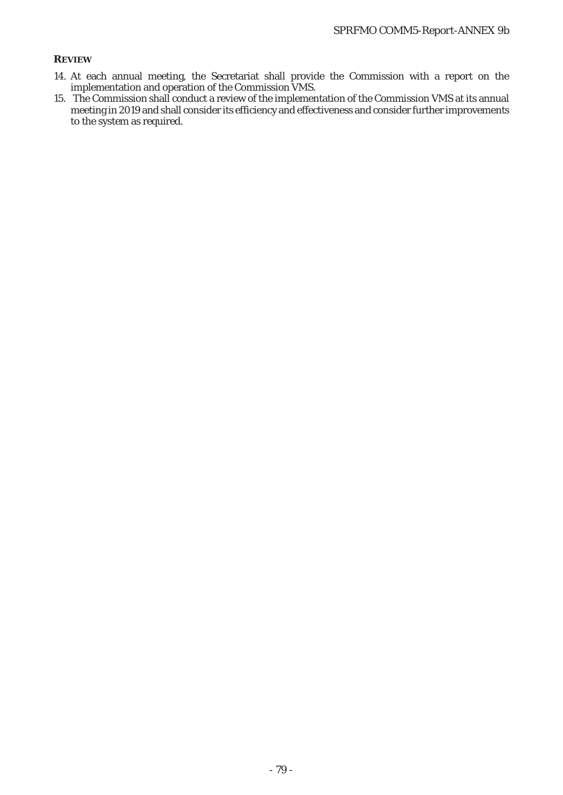### **REVIEW**

- 14. At each annual meeting, the Secretariat shall provide the Commission with a report on the implementation and operation of the Commission VMS.
- 15. The Commission shall conduct a review of the implementation of the Commission VMS at its annual meeting in 2019 and shall consider its efficiency and effectiveness and consider further improvements to the system as required.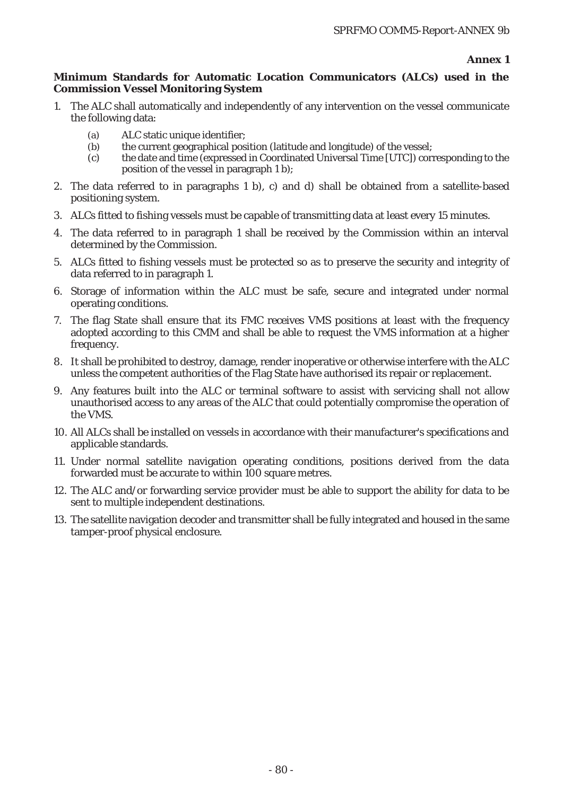#### **Annex 1**

### **Minimum Standards for Automatic Location Communicators (ALCs) used in the Commission Vessel Monitoring System**

- 1. The ALC shall automatically and independently of any intervention on the vessel communicate the following data:
	- (a) ALC static unique identifier;
	- (b) the current geographical position (latitude and longitude) of the vessel;
	- (c) the date and time (expressed in Coordinated Universal Time [UTC]) corresponding to the position of the vessel in paragraph 1 b);
- 2. The data referred to in paragraphs 1 b), c) and d) shall be obtained from a satellite-based positioning system.
- 3. ALCs fitted to fishing vessels must be capable of transmitting data at least every 15 minutes.
- 4. The data referred to in paragraph 1 shall be received by the Commission within an interval determined by the Commission.
- 5. ALCs fitted to fishing vessels must be protected so as to preserve the security and integrity of data referred to in paragraph 1.
- 6. Storage of information within the ALC must be safe, secure and integrated under normal operating conditions.
- 7. The flag State shall ensure that its FMC receives VMS positions at least with the frequency adopted according to this CMM and shall be able to request the VMS information at a higher frequency.
- 8. It shall be prohibited to destroy, damage, render inoperative or otherwise interfere with the ALC unless the competent authorities of the Flag State have authorised its repair or replacement.
- 9. Any features built into the ALC or terminal software to assist with servicing shall not allow unauthorised access to any areas of the ALC that could potentially compromise the operation of the VMS.
- 10. All ALCs shall be installed on vessels in accordance with their manufacturer's specifications and applicable standards.
- 11. Under normal satellite navigation operating conditions, positions derived from the data forwarded must be accurate to within 100 square metres.
- 12. The ALC and/or forwarding service provider must be able to support the ability for data to be sent to multiple independent destinations.
- 13. The satellite navigation decoder and transmitter shall be fully integrated and housed in the same tamper-proof physical enclosure.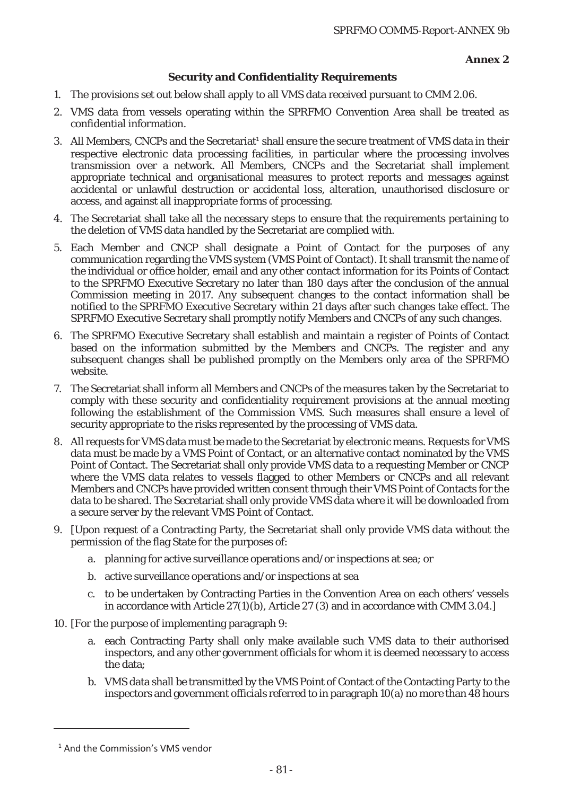### **Annex 2**

## **Security and Confidentiality Requirements**

- 1. The provisions set out below shall apply to all VMS data received pursuant to CMM 2.06.
- 2. VMS data from vessels operating within the SPRFMO Convention Area shall be treated as confidential information.
- 3. All Members, CNCPs and the Secretariat<sup>1</sup> shall ensure the secure treatment of VMS data in their respective electronic data processing facilities, in particular where the processing involves transmission over a network. All Members, CNCPs and the Secretariat shall implement appropriate technical and organisational measures to protect reports and messages against accidental or unlawful destruction or accidental loss, alteration, unauthorised disclosure or access, and against all inappropriate forms of processing.
- 4. The Secretariat shall take all the necessary steps to ensure that the requirements pertaining to the deletion of VMS data handled by the Secretariat are complied with.
- 5. Each Member and CNCP shall designate a Point of Contact for the purposes of any communication regarding the VMS system (VMS Point of Contact). It shall transmit the name of the individual or office holder, email and any other contact information for its Points of Contact to the SPRFMO Executive Secretary no later than 180 days after the conclusion of the annual Commission meeting in 2017. Any subsequent changes to the contact information shall be notified to the SPRFMO Executive Secretary within 21 days after such changes take effect. The SPRFMO Executive Secretary shall promptly notify Members and CNCPs of any such changes.
- 6. The SPRFMO Executive Secretary shall establish and maintain a register of Points of Contact based on the information submitted by the Members and CNCPs. The register and any subsequent changes shall be published promptly on the Members only area of the SPRFMO website.
- 7. The Secretariat shall inform all Members and CNCPs of the measures taken by the Secretariat to comply with these security and confidentiality requirement provisions at the annual meeting following the establishment of the Commission VMS. Such measures shall ensure a level of security appropriate to the risks represented by the processing of VMS data.
- 8. All requests for VMS data must be made to the Secretariat by electronic means. Requests for VMS data must be made by a VMS Point of Contact, or an alternative contact nominated by the VMS Point of Contact. The Secretariat shall only provide VMS data to a requesting Member or CNCP where the VMS data relates to vessels flagged to other Members or CNCPs and all relevant Members and CNCPs have provided written consent through their VMS Point of Contacts for the data to be shared. The Secretariat shall only provide VMS data where it will be downloaded from a secure server by the relevant VMS Point of Contact.
- 9. [Upon request of a Contracting Party, the Secretariat shall only provide VMS data without the permission of the flag State for the purposes of:
	- a. planning for active surveillance operations and/or inspections at sea; or
	- b. active surveillance operations and/or inspections at sea
	- c. to be undertaken by Contracting Parties in the Convention Area on each others' vessels in accordance with Article 27(1)(b), Article 27 (3) and in accordance with CMM 3.04.]
- 10. [For the purpose of implementing paragraph 9:
	- a. each Contracting Party shall only make available such VMS data to their authorised inspectors, and any other government officials for whom it is deemed necessary to access the data;
	- b. VMS data shall be transmitted by the VMS Point of Contact of the Contacting Party to the inspectors and government officials referred to in paragraph 10(a) no more than 48 hours

<u>.</u>

<sup>&</sup>lt;sup>1</sup> And the Commission's VMS vendor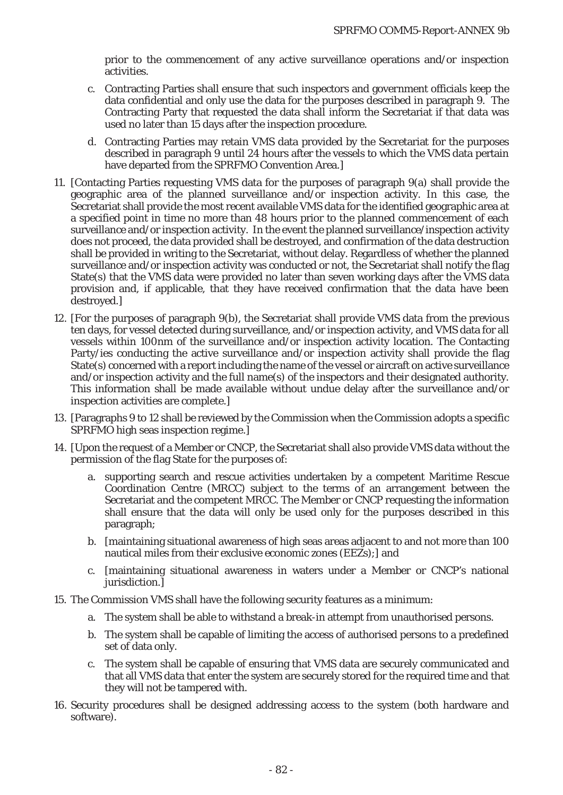prior to the commencement of any active surveillance operations and/or inspection activities.

- c. Contracting Parties shall ensure that such inspectors and government officials keep the data confidential and only use the data for the purposes described in paragraph 9. The Contracting Party that requested the data shall inform the Secretariat if that data was used no later than 15 days after the inspection procedure.
- d. Contracting Parties may retain VMS data provided by the Secretariat for the purposes described in paragraph 9 until 24 hours after the vessels to which the VMS data pertain have departed from the SPRFMO Convention Area.]
- 11. [Contacting Parties requesting VMS data for the purposes of paragraph 9(a) shall provide the geographic area of the planned surveillance and/or inspection activity. In this case, the Secretariat shall provide the most recent available VMS data for the identified geographic area at a specified point in time no more than 48 hours prior to the planned commencement of each surveillance and/or inspection activity. In the event the planned surveillance/inspection activity does not proceed, the data provided shall be destroyed, and confirmation of the data destruction shall be provided in writing to the Secretariat, without delay. Regardless of whether the planned surveillance and/or inspection activity was conducted or not, the Secretariat shall notify the flag State(s) that the VMS data were provided no later than seven working days after the VMS data provision and, if applicable, that they have received confirmation that the data have been destroyed.]
- 12. [For the purposes of paragraph 9(b), the Secretariat shall provide VMS data from the previous ten days, for vessel detected during surveillance, and/or inspection activity, and VMS data for all vessels within 100nm of the surveillance and/or inspection activity location. The Contacting Party/ies conducting the active surveillance and/or inspection activity shall provide the flag State(s) concerned with a report including the name of the vessel or aircraft on active surveillance and/or inspection activity and the full name(s) of the inspectors and their designated authority. This information shall be made available without undue delay after the surveillance and/or inspection activities are complete.]
- 13. [Paragraphs 9 to 12 shall be reviewed by the Commission when the Commission adopts a specific SPRFMO high seas inspection regime.]
- 14. [Upon the request of a Member or CNCP, the Secretariat shall also provide VMS data without the permission of the flag State for the purposes of:
	- a. supporting search and rescue activities undertaken by a competent Maritime Rescue Coordination Centre (MRCC) subject to the terms of an arrangement between the Secretariat and the competent MRCC. The Member or CNCP requesting the information shall ensure that the data will only be used only for the purposes described in this paragraph;
	- b. [maintaining situational awareness of high seas areas adjacent to and not more than 100 nautical miles from their exclusive economic zones (EEZs);] and
	- c. [maintaining situational awareness in waters under a Member or CNCP's national jurisdiction.]
- 15. The Commission VMS shall have the following security features as a minimum:
	- a. The system shall be able to withstand a break-in attempt from unauthorised persons.
	- b. The system shall be capable of limiting the access of authorised persons to a predefined set of data only.
	- c. The system shall be capable of ensuring that VMS data are securely communicated and that all VMS data that enter the system are securely stored for the required time and that they will not be tampered with.
- 16. Security procedures shall be designed addressing access to the system (both hardware and software).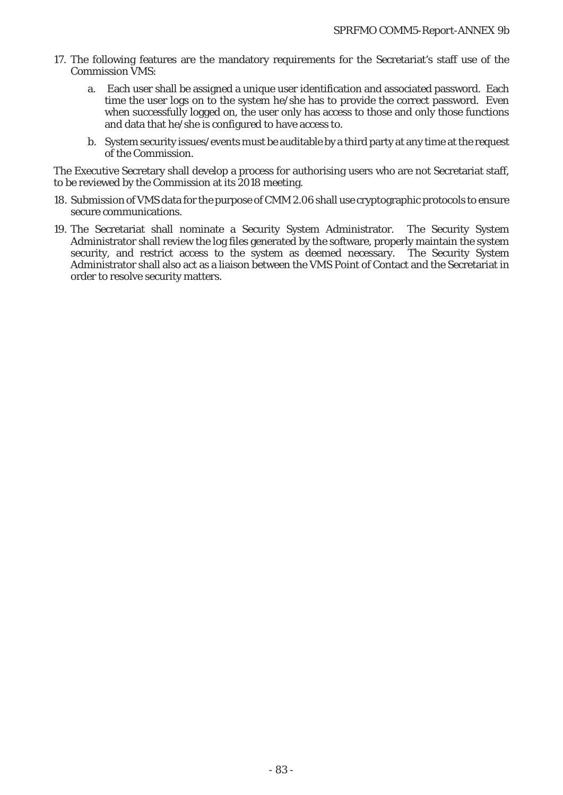- 17. The following features are the mandatory requirements for the Secretariat's staff use of the Commission VMS:
	- a. Each user shall be assigned a unique user identification and associated password. Each time the user logs on to the system he/she has to provide the correct password. Even when successfully logged on, the user only has access to those and only those functions and data that he/she is configured to have access to.
	- b. System security issues/events must be auditable by a third party at any time at the request of the Commission.

The Executive Secretary shall develop a process for authorising users who are not Secretariat staff, to be reviewed by the Commission at its 2018 meeting.

- 18. Submission of VMS data for the purpose of CMM 2.06 shall use cryptographic protocols to ensure secure communications.
- 19. The Secretariat shall nominate a Security System Administrator. The Security System Administrator shall review the log files generated by the software, properly maintain the system security, and restrict access to the system as deemed necessary. The Security System Administrator shall also act as a liaison between the VMS Point of Contact and the Secretariat in order to resolve security matters.